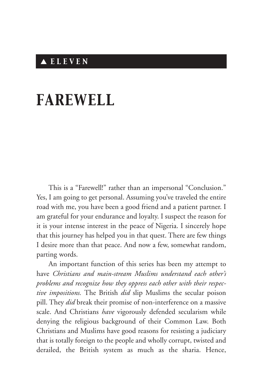## ▲ *E L E V E N*

## *FAREWELL*

This is a "Farewell!" rather than an impersonal "Conclusion." Yes, I am going to get personal. Assuming you've traveled the entire road with me, you have been a good friend and a patient partner. I am grateful for your endurance and loyalty. I suspect the reason for it is your intense interest in the peace of Nigeria. I sincerely hope that this journey has helped you in that quest. There are few things I desire more than that peace. And now a few, somewhat random, parting words.

An important function of this series has been my attempt to have *Christians and main-stream Muslims understand each other's problems and recognize how they oppress each other with their respective impositions.* The British *did* slip Muslims the secular poison pill. They *did* break their promise of non-interference on a massive scale. And Christians *have* vigorously defended secularism while denying the religious background of their Common Law. Both Christians and Muslims have good reasons for resisting a judiciary that is totally foreign to the people and wholly corrupt, twisted and derailed, the British system as much as the sharia. Hence,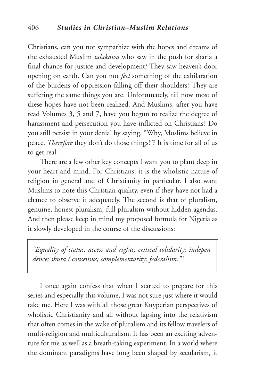Christians, can you not sympathize with the hopes and dreams of the exhausted Muslim *talakawa* who saw in the push for sharia a final chance for justice and development? They saw heaven's door opening on earth. Can you not *feel* something of the exhilaration of the burdens of oppression falling off their shoulders? They are suffering the same things you are. Unfortunately, till now most of these hopes have not been realized. And Muslims, after you have read Volumes 3, 5 and 7, have you begun to realize the degree of harassment and persecution you have inflicted on Christians? Do you still persist in your denial by saying, "Why, Muslims believe in peace. *Therefore* they don't do those things!"? It is time for all of us to get real.

There are a few other key concepts I want you to plant deep in your heart and mind. For Christians, it is the wholistic nature of religion in general and of Christianity in particular. I also want Muslims to note this Christian quality, even if they have not had a chance to observe it adequately. The second is that of pluralism, genuine, honest pluralism, full pluralism without hidden agendas. And then please keep in mind my proposed formula for Nigeria as it slowly developed in the course of the discussions:

*"Equality of status, access and rights; critical solidarity; independence; shura / consensus; complementarity; federalism."* <sup>1</sup>

I once again confess that when I started to prepare for this series and especially this volume, I was not sure just where it would take me. Here I was with all those great Kuyperian perspectives of wholistic Christianity and all without lapsing into the relativism that often comes in the wake of pluralism and its fellow travelers of multi-religion and multiculturalism. It has been an exciting adventure for me as well as a breath-taking experiment. In a world where the dominant paradigms have long been shaped by secularism, it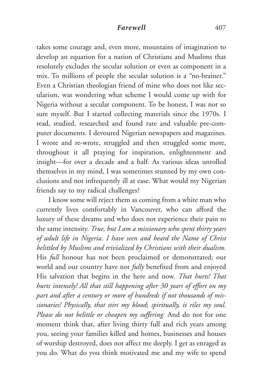## *Farewell* 407

takes some courage and, even more, mountains of imagination to develop an equation for a nation of Christians and Muslims that resolutely excludes the secular solution or even as component in a mix. To millions of people the secular solution is a "no-brainer." Even a Christian theologian friend of mine who does not like secularism, was wondering what scheme I would come up with for Nigeria without a secular component. To be honest, I was not so sure myself. But I started collecting materials since the 1970s. I read, studied, researched and found rare and valuable pre-computer documents. I devoured Nigerian newspapers and magazines. I wrote and re-wrote, struggled and then struggled some more, throughout it all praying for inspiration, enlightenment and insight—for over a decade and a half. As various ideas unrolled themselves in my mind, I was sometimes stunned by my own conclusions and not infrequently ill at ease. What would my Nigerian friends say to my radical challenges?

I know some will reject them as coming from a white man who currently lives comfortably in Vancouver, who can afford the luxury of these dreams and who does not experience their pain to the same intensity. *True, but I am a missionary who spent thirty years of adult life in Nigeria. I have seen and heard the Name of Christ belittled by Muslims and trivialized by Christians with their dualism.* His *full* honour has not been proclaimed or demonstrated; our world and our country have not *fully* benefited from and enjoyed His salvation that begins in the here and now. *That hurts! That hurts intensely! All that still happening after 30 years of effort on my part and after a century or more of hundreds if not thousands of missionaries! Physically, that stirs my blood*; *spiritually, it riles my soul. Please do not belittle or cheapen my suffering.* And do not for one moment think that, after living thirty full and rich years among you, seeing your families killed and homes, businesses and houses of worship destroyed, does not affect me deeply. I get as enraged as you do. What do you think motivated me and my wife to spend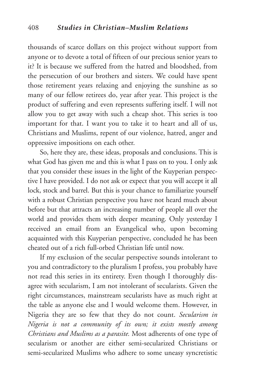thousands of scarce dollars on this project without support from anyone or to devote a total of fifteen of our precious senior years to it? It is because we suffered from the hatred and bloodshed, from the persecution of our brothers and sisters. We could have spent those retirement years relaxing and enjoying the sunshine as so many of our fellow retirees do, year after year. This project is the product of suffering and even represents suffering itself. I will not allow you to get away with such a cheap shot. This series is too important for that. I want you to take it to heart and all of us, Christians and Muslims, repent of our violence, hatred, anger and oppressive impositions on each other.

So, here they are, these ideas, proposals and conclusions. This is what God has given me and this is what I pass on to you. I only ask that you consider these issues in the light of the Kuyperian perspective I have provided. I do not ask or expect that you will accept it all lock, stock and barrel. But this is your chance to familiarize yourself with a robust Christian perspective you have not heard much about before but that attracts an increasing number of people all over the world and provides them with deeper meaning. Only yesterday I received an email from an Evangelical who, upon becoming acquainted with this Kuyperian perspective, concluded he has been cheated out of a rich full-orbed Christian life until now.

If my exclusion of the secular perspective sounds intolerant to you and contradictory to the pluralism I profess, you probably have not read this series in its entirety. Even though I thoroughly disagree with secularism, I am not intolerant of secularists. Given the right circumstances, mainstream secularists have as much right at the table as anyone else and I would welcome them. However, in Nigeria they are so few that they do not count. *Secularism in Nigeria is not a community of its own; it exists mostly among Christians and Muslims as a parasite.* Most adherents of one type of secularism or another are either semi-secularized Christians or semi-secularized Muslims who adhere to some uneasy syncretistic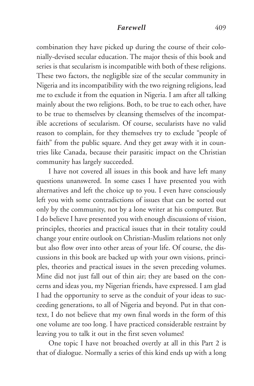## *Farewell* 409

combination they have picked up during the course of their colonially-devised secular education. The major thesis of this book and series is that secularism is incompatible with both of these religions. These two factors, the negligible size of the secular community in Nigeria and its incompatibility with the two reigning religions, lead me to exclude it from the equation in Nigeria. I am after all talking mainly about the two religions. Both, to be true to each other, have to be true to themselves by cleansing themselves of the incompatible accretions of secularism. Of course, secularists have no valid reason to complain, for they themselves try to exclude "people of faith" from the public square. And they get away with it in countries like Canada, because their parasitic impact on the Christian community has largely succeeded.

I have not covered all issues in this book and have left many questions unanswered. In some cases I have presented you with alternatives and left the choice up to you. I even have consciously left you with some contradictions of issues that can be sorted out only by the community, not by a lone writer at his computer. But I do believe I have presented you with enough discussions of vision, principles, theories and practical issues that in their totality could change your entire outlook on Christian-Muslim relations not only but also flow over into other areas of your life. Of course, the discussions in this book are backed up with your own visions, principles, theories and practical issues in the seven preceding volumes. Mine did not just fall out of thin air; they are based on the concerns and ideas you, my Nigerian friends, have expressed. I am glad I had the opportunity to serve as the conduit of your ideas to succeeding generations, to all of Nigeria and beyond. Put in that context, I do not believe that my own final words in the form of this one volume are too long. I have practiced considerable restraint by leaving you to talk it out in the first seven volumes!

One topic I have not broached overtly at all in this Part 2 is that of dialogue. Normally a series of this kind ends up with a long